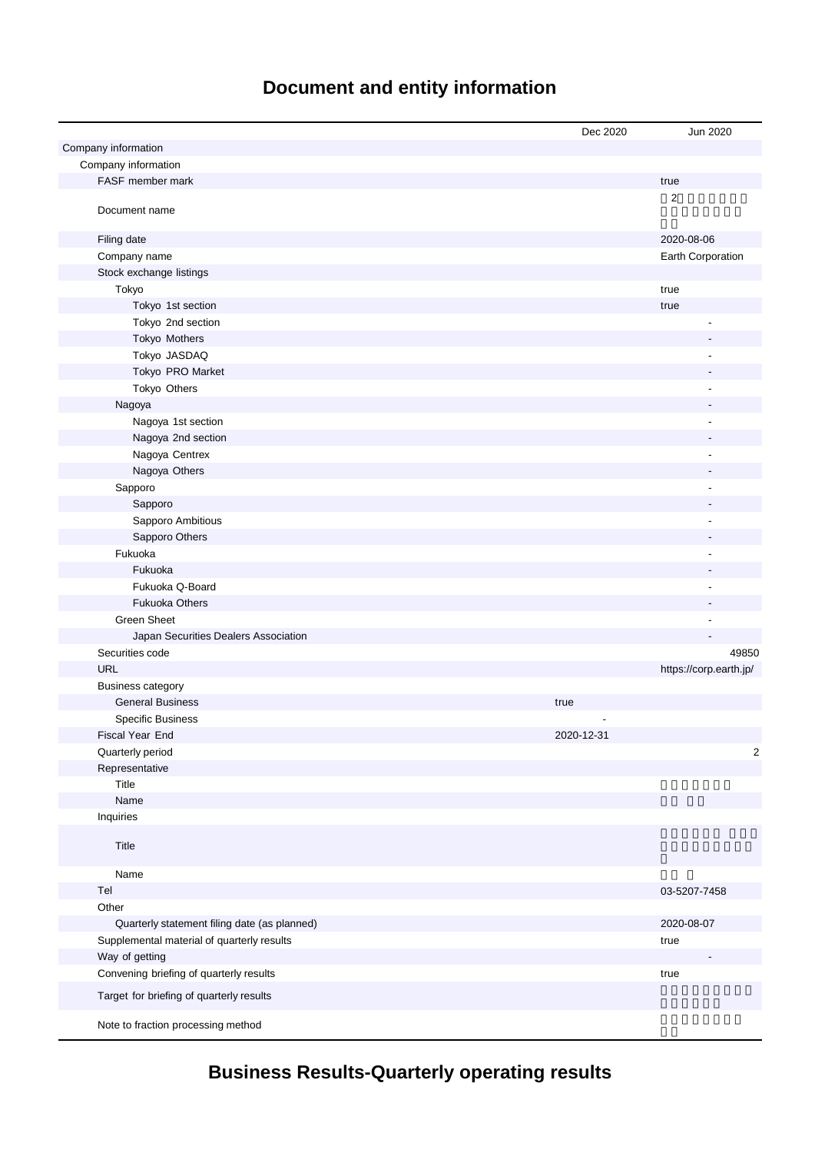# **Document and entity information**

|                                              | Dec 2020   | Jun 2020               |
|----------------------------------------------|------------|------------------------|
| Company information                          |            |                        |
| Company information                          |            |                        |
| FASF member mark                             |            | true                   |
| Document name                                |            | $\overline{2}$         |
| Filing date                                  |            | 2020-08-06             |
| Company name                                 |            | Earth Corporation      |
| Stock exchange listings                      |            |                        |
| Tokyo                                        |            | true                   |
| Tokyo 1st section                            |            | true                   |
| Tokyo 2nd section                            |            |                        |
| Tokyo Mothers                                |            |                        |
| Tokyo JASDAQ                                 |            |                        |
| Tokyo PRO Market                             |            |                        |
| Tokyo Others                                 |            |                        |
| Nagoya                                       |            |                        |
| Nagoya 1st section                           |            | L,                     |
| Nagoya 2nd section                           |            |                        |
| Nagoya Centrex                               |            | L,                     |
| Nagoya Others                                |            |                        |
| Sapporo                                      |            | Ĭ.                     |
| Sapporo                                      |            |                        |
| Sapporo Ambitious                            |            |                        |
| Sapporo Others                               |            |                        |
| Fukuoka                                      |            |                        |
| Fukuoka                                      |            |                        |
| Fukuoka Q-Board                              |            |                        |
| <b>Fukuoka Others</b>                        |            |                        |
| <b>Green Sheet</b>                           |            |                        |
| Japan Securities Dealers Association         |            |                        |
| Securities code                              |            | 49850                  |
| <b>URL</b>                                   |            | https://corp.earth.jp/ |
| <b>Business category</b>                     |            |                        |
| <b>General Business</b>                      | true       |                        |
| <b>Specific Business</b>                     |            |                        |
| Fiscal Year End                              | 2020-12-31 |                        |
| Quarterly period                             |            | $\overline{c}$         |
| Representative                               |            |                        |
| Title                                        |            |                        |
| Name                                         |            |                        |
| Inquiries                                    |            |                        |
| Title                                        |            |                        |
| Name                                         |            |                        |
| Tel                                          |            | 03-5207-7458           |
| Other                                        |            |                        |
| Quarterly statement filing date (as planned) |            | 2020-08-07             |
| Supplemental material of quarterly results   |            | true                   |
| Way of getting                               |            |                        |
| Convening briefing of quarterly results      |            | true                   |
| Target for briefing of quarterly results     |            |                        |
| Note to fraction processing method           |            |                        |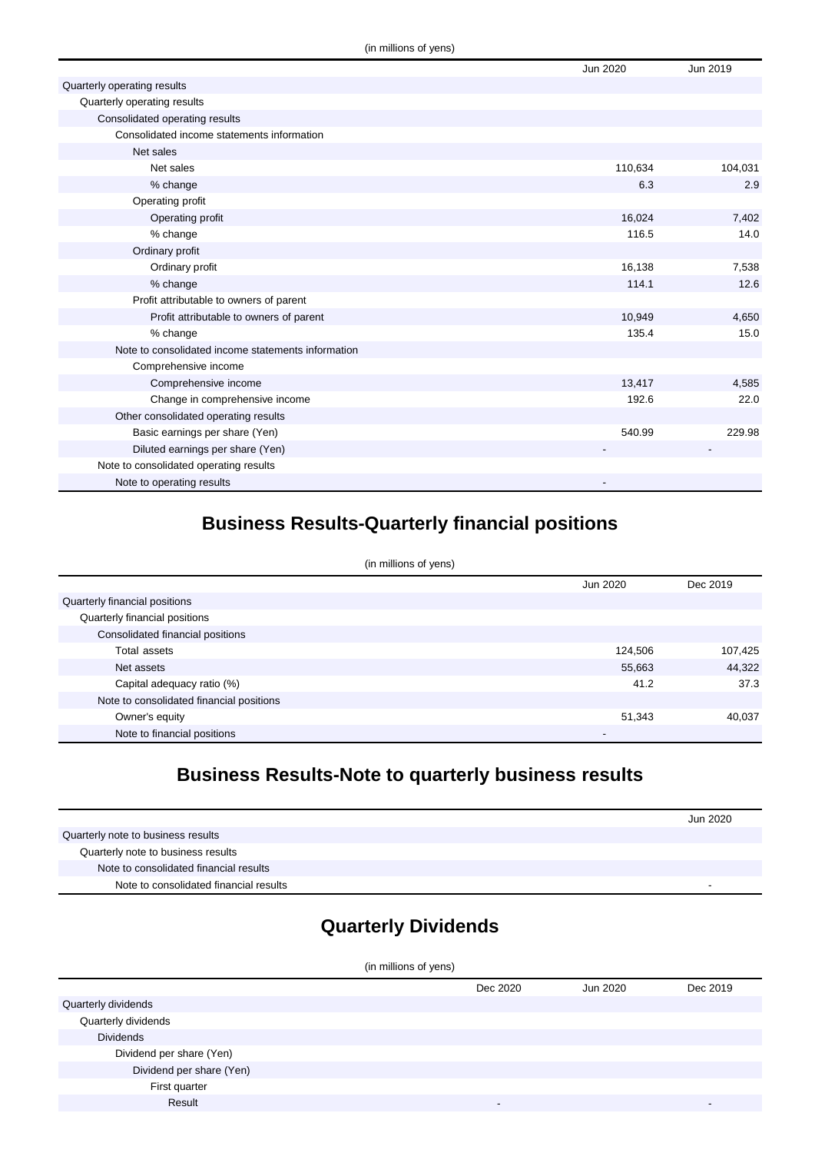|                                                    | Jun 2020 | Jun 2019 |
|----------------------------------------------------|----------|----------|
| Quarterly operating results                        |          |          |
| Quarterly operating results                        |          |          |
| Consolidated operating results                     |          |          |
| Consolidated income statements information         |          |          |
| Net sales                                          |          |          |
| Net sales                                          | 110,634  | 104,031  |
| % change                                           | 6.3      | 2.9      |
| Operating profit                                   |          |          |
| Operating profit                                   | 16,024   | 7,402    |
| % change                                           | 116.5    | 14.0     |
| Ordinary profit                                    |          |          |
| Ordinary profit                                    | 16,138   | 7,538    |
| % change                                           | 114.1    | 12.6     |
| Profit attributable to owners of parent            |          |          |
| Profit attributable to owners of parent            | 10,949   | 4,650    |
| % change                                           | 135.4    | 15.0     |
| Note to consolidated income statements information |          |          |
| Comprehensive income                               |          |          |
| Comprehensive income                               | 13,417   | 4,585    |
| Change in comprehensive income                     | 192.6    | 22.0     |
| Other consolidated operating results               |          |          |
| Basic earnings per share (Yen)                     | 540.99   | 229.98   |
| Diluted earnings per share (Yen)                   |          |          |
| Note to consolidated operating results             |          |          |
| Note to operating results                          |          |          |

## **Business Results-Quarterly financial positions**

| (in millions of yens)                    |          |          |  |
|------------------------------------------|----------|----------|--|
|                                          | Jun 2020 | Dec 2019 |  |
| Quarterly financial positions            |          |          |  |
| Quarterly financial positions            |          |          |  |
| Consolidated financial positions         |          |          |  |
| Total assets                             | 124,506  | 107,425  |  |
| Net assets                               | 55,663   | 44,322   |  |
| Capital adequacy ratio (%)               | 41.2     | 37.3     |  |
| Note to consolidated financial positions |          |          |  |
| Owner's equity                           | 51,343   | 40,037   |  |
| Note to financial positions              |          |          |  |

## **Business Results-Note to quarterly business results**

|                                        | Jun 2020                 |
|----------------------------------------|--------------------------|
| Quarterly note to business results     |                          |
| Quarterly note to business results     |                          |
| Note to consolidated financial results |                          |
| Note to consolidated financial results | $\overline{\phantom{a}}$ |

# **Quarterly Dividends**

| (in millions of yens)    |          |          |          |
|--------------------------|----------|----------|----------|
|                          | Dec 2020 | Jun 2020 | Dec 2019 |
| Quarterly dividends      |          |          |          |
| Quarterly dividends      |          |          |          |
| <b>Dividends</b>         |          |          |          |
| Dividend per share (Yen) |          |          |          |
| Dividend per share (Yen) |          |          |          |
| First quarter            |          |          |          |
| Result                   |          |          |          |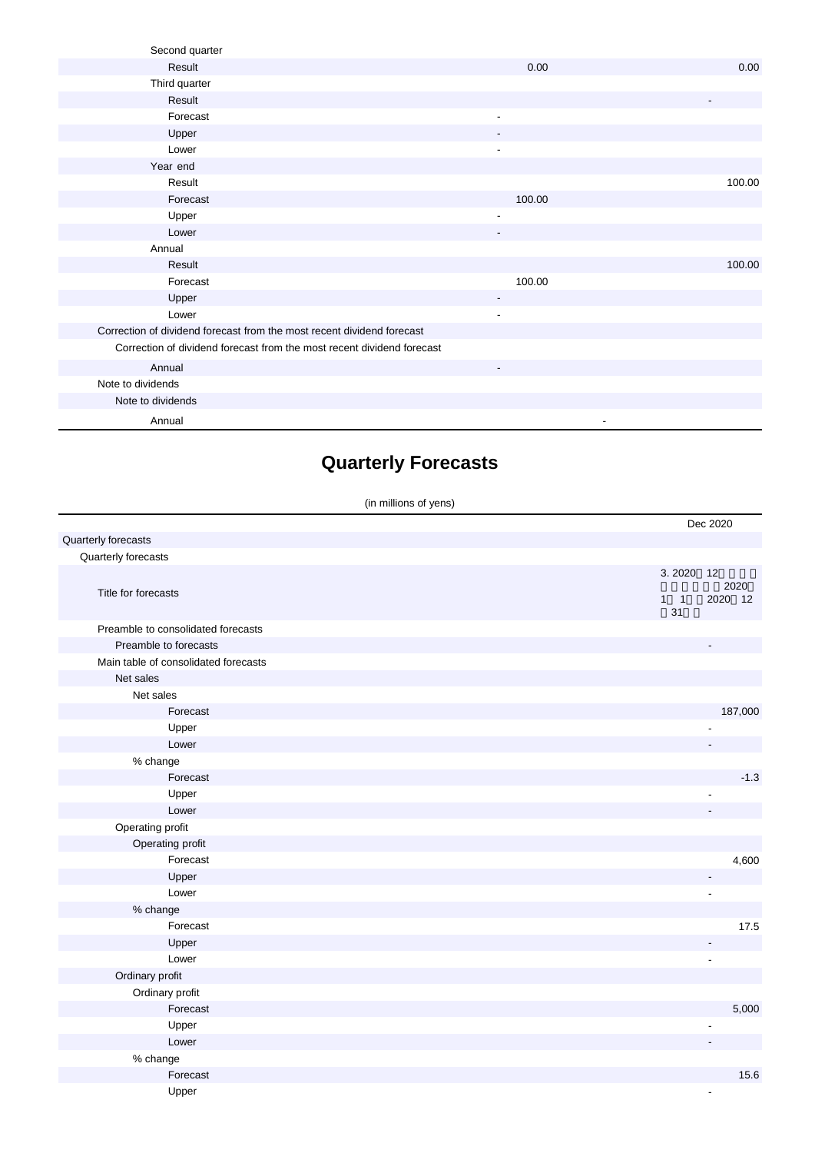| Second quarter                                                         |                          |                          |
|------------------------------------------------------------------------|--------------------------|--------------------------|
| Result                                                                 | 0.00                     | 0.00                     |
| Third quarter                                                          |                          |                          |
| Result                                                                 |                          | $\overline{\phantom{a}}$ |
| Forecast                                                               | $\overline{\phantom{a}}$ |                          |
| Upper                                                                  | $\overline{\phantom{a}}$ |                          |
| Lower                                                                  | $\blacksquare$           |                          |
| Year end                                                               |                          |                          |
| Result                                                                 |                          | 100.00                   |
| Forecast                                                               | 100.00                   |                          |
| Upper                                                                  | $\overline{\phantom{a}}$ |                          |
| Lower                                                                  | ٠                        |                          |
| Annual                                                                 |                          |                          |
| Result                                                                 |                          | 100.00                   |
| Forecast                                                               | 100.00                   |                          |
| Upper                                                                  |                          |                          |
| Lower                                                                  | $\overline{\phantom{a}}$ |                          |
| Correction of dividend forecast from the most recent dividend forecast |                          |                          |
| Correction of dividend forecast from the most recent dividend forecast |                          |                          |
| Annual                                                                 | $\overline{\phantom{a}}$ |                          |
| Note to dividends                                                      |                          |                          |
| Note to dividends                                                      |                          |                          |
| Annual                                                                 |                          |                          |

## **Quarterly Forecasts**

(in millions of yens)

|                                      |                             | Dec 2020              |
|--------------------------------------|-----------------------------|-----------------------|
| Quarterly forecasts                  |                             |                       |
| Quarterly forecasts                  |                             |                       |
| Title for forecasts                  | 3.2020<br>$1 \quad 1$<br>31 | 12<br>2020<br>2020 12 |
| Preamble to consolidated forecasts   |                             |                       |
| Preamble to forecasts                |                             |                       |
| Main table of consolidated forecasts |                             |                       |
| Net sales                            |                             |                       |
| Net sales                            |                             |                       |
| Forecast                             |                             | 187,000               |
| Upper                                |                             |                       |
| Lower                                |                             |                       |
| % change                             |                             |                       |
| Forecast                             |                             | $-1.3$                |
| Upper                                |                             |                       |
| Lower                                |                             |                       |
| Operating profit                     |                             |                       |
| Operating profit                     |                             |                       |
| Forecast                             |                             | 4,600                 |
| Upper                                |                             |                       |
| Lower                                |                             | $\overline{a}$        |
| % change                             |                             |                       |
| Forecast                             |                             | 17.5                  |
| Upper                                |                             |                       |
| Lower                                |                             |                       |
| Ordinary profit                      |                             |                       |
| Ordinary profit                      |                             |                       |
| Forecast                             |                             | 5,000                 |
| Upper                                |                             |                       |
| Lower                                |                             |                       |
| $%$ change                           |                             |                       |
| Forecast                             |                             | 15.6                  |
| Upper                                |                             | $\blacksquare$        |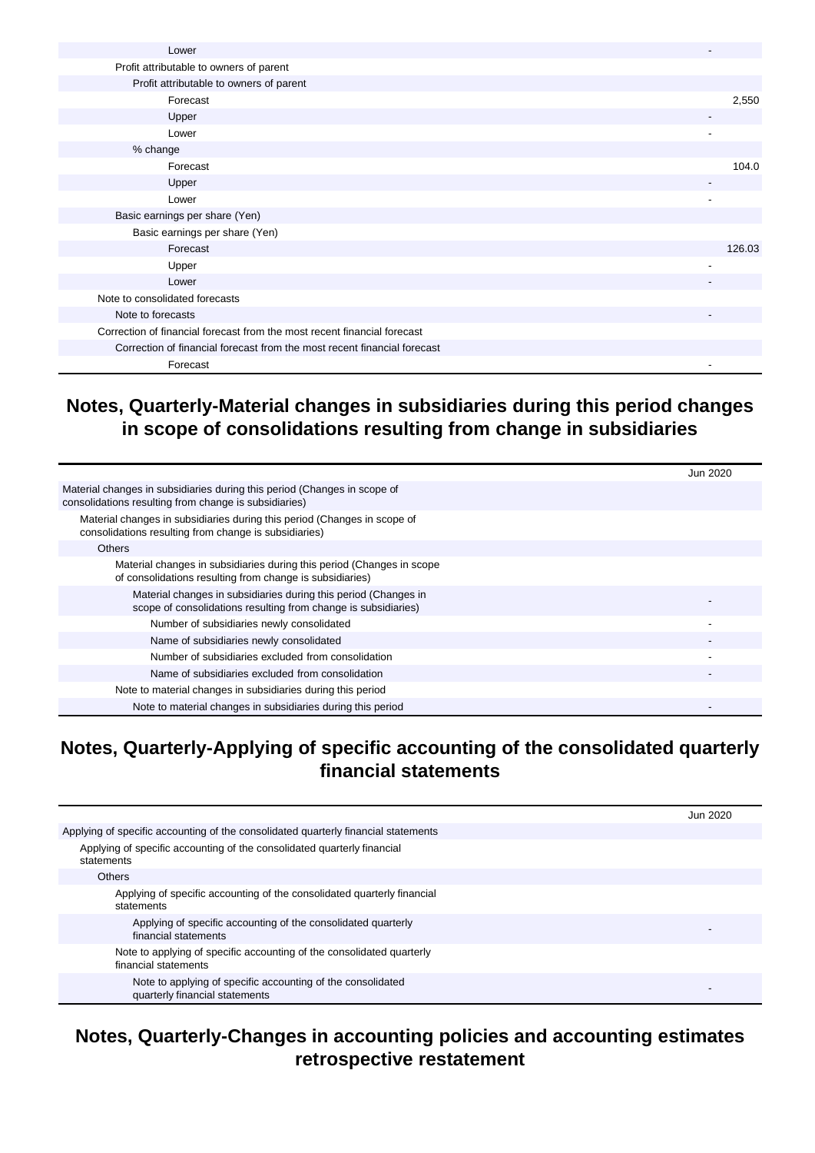| Lower                                                                    |        |
|--------------------------------------------------------------------------|--------|
| Profit attributable to owners of parent                                  |        |
| Profit attributable to owners of parent                                  |        |
| Forecast                                                                 | 2,550  |
| Upper                                                                    |        |
| Lower                                                                    |        |
| % change                                                                 |        |
| Forecast                                                                 | 104.0  |
| Upper                                                                    |        |
| Lower                                                                    |        |
| Basic earnings per share (Yen)                                           |        |
| Basic earnings per share (Yen)                                           |        |
| Forecast                                                                 | 126.03 |
| Upper                                                                    |        |
| Lower                                                                    |        |
| Note to consolidated forecasts                                           |        |
| Note to forecasts                                                        |        |
| Correction of financial forecast from the most recent financial forecast |        |
| Correction of financial forecast from the most recent financial forecast |        |
| Forecast                                                                 | ٠      |

#### **Notes, Quarterly-Material changes in subsidiaries during this period changes in scope of consolidations resulting from change in subsidiaries**

|                                                                                                                                   | Jun 2020 |
|-----------------------------------------------------------------------------------------------------------------------------------|----------|
| Material changes in subsidiaries during this period (Changes in scope of<br>consolidations resulting from change is subsidiaries) |          |
| Material changes in subsidiaries during this period (Changes in scope of<br>consolidations resulting from change is subsidiaries) |          |
| <b>Others</b>                                                                                                                     |          |
| Material changes in subsidiaries during this period (Changes in scope<br>of consolidations resulting from change is subsidiaries) |          |
| Material changes in subsidiaries during this period (Changes in<br>scope of consolidations resulting from change is subsidiaries) |          |
| Number of subsidiaries newly consolidated                                                                                         |          |
| Name of subsidiaries newly consolidated                                                                                           |          |
| Number of subsidiaries excluded from consolidation                                                                                |          |
| Name of subsidiaries excluded from consolidation                                                                                  |          |
| Note to material changes in subsidiaries during this period                                                                       |          |
| Note to material changes in subsidiaries during this period                                                                       |          |

#### **Notes, Quarterly-Applying of specific accounting of the consolidated quarterly financial statements**

|                                                                                               | Jun 2020 |
|-----------------------------------------------------------------------------------------------|----------|
| Applying of specific accounting of the consolidated quarterly financial statements            |          |
| Applying of specific accounting of the consolidated quarterly financial<br>statements         |          |
| <b>Others</b>                                                                                 |          |
| Applying of specific accounting of the consolidated quarterly financial<br>statements         |          |
| Applying of specific accounting of the consolidated quarterly<br>financial statements         |          |
| Note to applying of specific accounting of the consolidated quarterly<br>financial statements |          |
| Note to applying of specific accounting of the consolidated<br>quarterly financial statements |          |

#### **Notes, Quarterly-Changes in accounting policies and accounting estimates retrospective restatement**